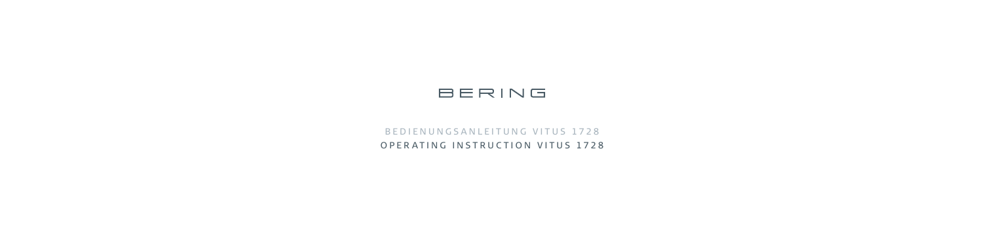

# B E D I E N U N G S A N L E I T U N G V I T U S 1728 OPERATING INSTRUCTION VITUS 1728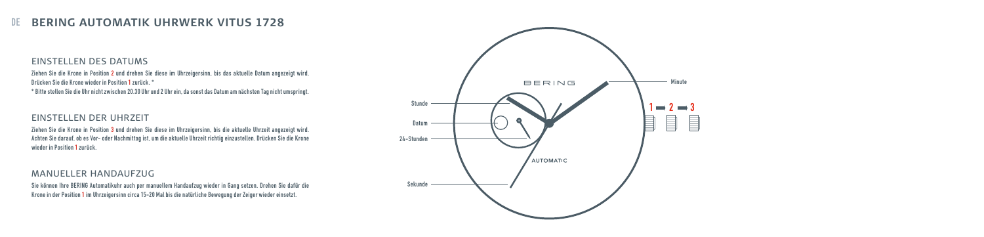## DE **BERING AUTOMATIK UHRWERK VITUS 1728**

### EINSTELLEN DES DATUMS

Ziehen Sie die Krone in Position 2 und drehen Sie diese im Uhrzeigersinn, bis das aktuelle Datum angezeigt wird. Drücken Sie die Krone wieder in Position 1 zurück. \* \* Bitte stellen Sie die Uhr nicht zwischen 20.30 Uhr und 2 Uhr ein, da sonst das Datum am nächsten Tag nicht umspringt.

### EINSTELLEN DER UHRZEIT

Ziehen Sie die Krone in Position 3 und drehen Sie diese im Uhrzeigersinn, bis die aktuelle Uhrzeit angezeigt wird. Achten Sie darauf, ob es Vor- oder Nachmittag ist, um die aktuelle Uhrzeit richtig einzustellen. Drücken Sie die Krone wieder in Position 1 zurück.

### MANUELLER HANDAUFZUG

Sie können Ihre BERING Automatikuhr auch per manuellem Handaufzug wieder in Gang setzen. Drehen Sie dafür die Krone in der Position 1 im Uhrzeigersinn circa 15-20 Mal bis die natürliche Bewegung der Zeiger wieder einsetzt.

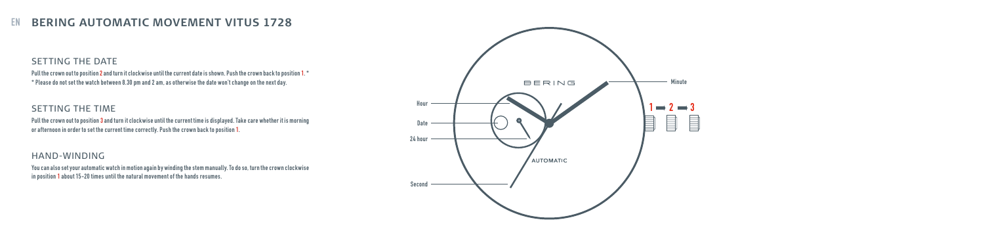## EN **BERING AUTOMATIC MOVEMENT VITUS 1728**

### SETTING THE DATE

Pull the crown out to position 2 and turn it clockwise until the current date is shown. Push the crown back to position 1. \* \* Please do not set the watch between 8.30 pm and 2 am, as otherwise the date won't change on the next day.

### SETTING THE TIME

Pull the crown out to position **3** and turn it clockwise until the current time is displayed. Take care whether it is morning or afternoon in order to set the current time correctly. Push the crown back to position 1.

#### HAND-WINDING

You can also set your automatic watch in motion again by winding the stem manually. To do so, turn the crown clockwise in position 1 about 15-20 times until the natural movement of the hands resumes.